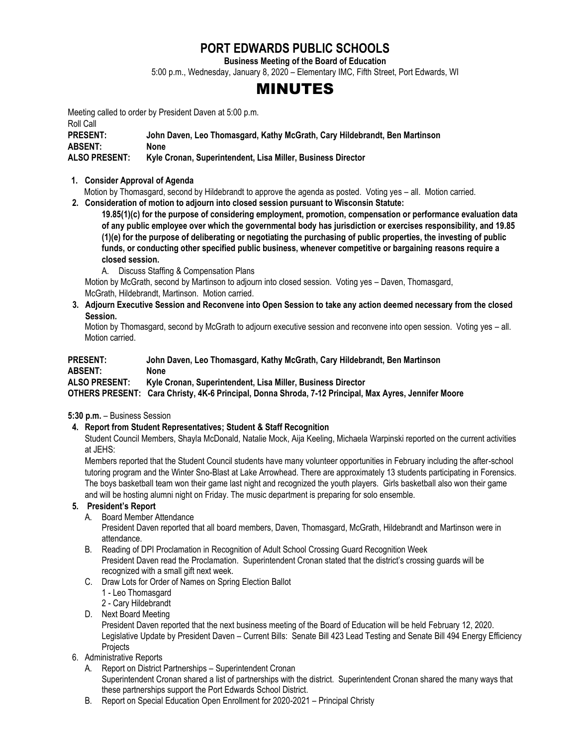# **PORT EDWARDS PUBLIC SCHOOLS**

**Business Meeting of the Board of Education**

5:00 p.m., Wednesday, January 8, 2020 – Elementary IMC, Fifth Street, Port Edwards, WI

# MINUTES

Meeting called to order by President Daven at 5:00 p.m.

Roll Call

**PRESENT: John Daven, Leo Thomasgard, Kathy McGrath, Cary Hildebrandt, Ben Martinson ABSENT: None**

# **ALSO PRESENT: Kyle Cronan, Superintendent, Lisa Miller, Business Director**

#### **1. Consider Approval of Agenda**

Motion by Thomasgard, second by Hildebrandt to approve the agenda as posted. Voting yes – all. Motion carried.

**2. Consideration of motion to adjourn into closed session pursuant to Wisconsin Statute:**

**19.85(1)(c) for the purpose of considering employment, promotion, compensation or performance evaluation data of any public employee over which the governmental body has jurisdiction or exercises responsibility, and 19.85 (1)(e) for the purpose of deliberating or negotiating the purchasing of public properties, the investing of public funds, or conducting other specified public business, whenever competitive or bargaining reasons require a closed session.**

A. Discuss Staffing & Compensation Plans

 Motion by McGrath, second by Martinson to adjourn into closed session. Voting yes – Daven, Thomasgard, McGrath, Hildebrandt, Martinson. Motion carried.

**3. Adjourn Executive Session and Reconvene into Open Session to take any action deemed necessary from the closed Session.**

Motion by Thomasgard, second by McGrath to adjourn executive session and reconvene into open session. Voting yes – all. Motion carried.

#### **PRESENT: John Daven, Leo Thomasgard, Kathy McGrath, Cary Hildebrandt, Ben Martinson ABSENT: None ALSO PRESENT: Kyle Cronan, Superintendent, Lisa Miller, Business Director OTHERS PRESENT: Cara Christy, 4K-6 Principal, Donna Shroda, 7-12 Principal, Max Ayres, Jennifer Moore**

# **5:30 p.m.** – Business Session

# **4. Report from Student Representatives; Student & Staff Recognition**

Student Council Members, Shayla McDonald, Natalie Mock, Aija Keeling, Michaela Warpinski reported on the current activities at JEHS:

Members reported that the Student Council students have many volunteer opportunities in February including the after-school tutoring program and the Winter Sno-Blast at Lake Arrowhead. There are approximately 13 students participating in Forensics. The boys basketball team won their game last night and recognized the youth players. Girls basketball also won their game and will be hosting alumni night on Friday. The music department is preparing for solo ensemble.

# **5. President's Report**

A. Board Member Attendance

President Daven reported that all board members, Daven, Thomasgard, McGrath, Hildebrandt and Martinson were in attendance.

- B. Reading of DPI Proclamation in Recognition of Adult School Crossing Guard Recognition Week President Daven read the Proclamation. Superintendent Cronan stated that the district's crossing guards will be recognized with a small gift next week.
- C. Draw Lots for Order of Names on Spring Election Ballot
	- 1 Leo Thomasgard
	- 2 Cary Hildebrandt
- D. Next Board Meeting

President Daven reported that the next business meeting of the Board of Education will be held February 12, 2020. Legislative Update by President Daven – Current Bills: Senate Bill 423 Lead Testing and Senate Bill 494 Energy Efficiency **Projects** 

# 6. Administrative Reports

- A. Report on District Partnerships Superintendent Cronan Superintendent Cronan shared a list of partnerships with the district. Superintendent Cronan shared the many ways that these partnerships support the Port Edwards School District.
- B. Report on Special Education Open Enrollment for 2020-2021 Principal Christy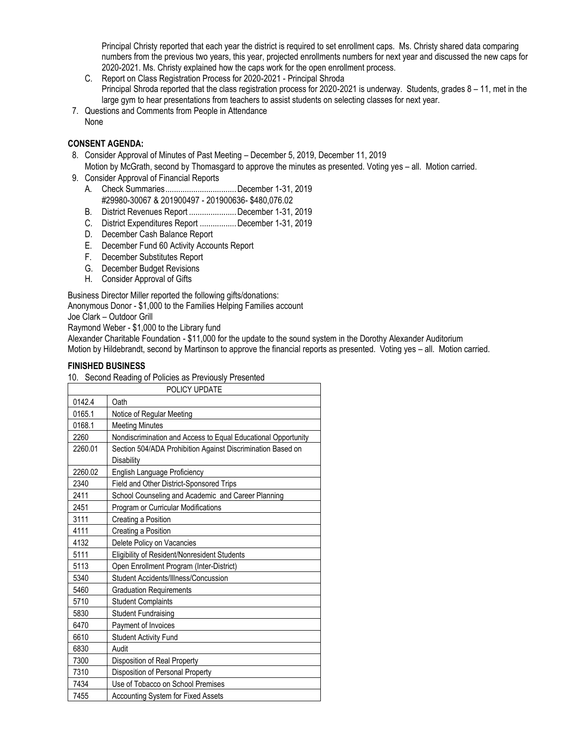Principal Christy reported that each year the district is required to set enrollment caps. Ms. Christy shared data comparing numbers from the previous two years, this year, projected enrollments numbers for next year and discussed the new caps for 2020-2021. Ms. Christy explained how the caps work for the open enrollment process.

- C. Report on Class Registration Process for 2020-2021 Principal Shroda Principal Shroda reported that the class registration process for 2020-2021 is underway. Students, grades 8 – 11, met in the large gym to hear presentations from teachers to assist students on selecting classes for next year.
- 7. Questions and Comments from People in Attendance None

#### **CONSENT AGENDA:**

- 8. Consider Approval of Minutes of Past Meeting December 5, 2019, December 11, 2019 Motion by McGrath, second by Thomasgard to approve the minutes as presented. Voting yes – all. Motion carried.
- 9. Consider Approval of Financial Reports
	- A. Check Summaries.................................December 1-31, 2019 #29980-30067 & 201900497 - 201900636- \$480,076.02
	- B. District Revenues Report ......................December 1-31, 2019
	- C. District Expenditures Report .................December 1-31, 2019
	- D. December Cash Balance Report
	- E. December Fund 60 Activity Accounts Report
	- F. December Substitutes Report
	- G. December Budget Revisions
	- H. Consider Approval of Gifts

Business Director Miller reported the following gifts/donations:

Anonymous Donor - \$1,000 to the Families Helping Families account

Joe Clark – Outdoor Grill

Raymond Weber - \$1,000 to the Library fund

Alexander Charitable Foundation - \$11,000 for the update to the sound system in the Dorothy Alexander Auditorium Motion by Hildebrandt, second by Martinson to approve the financial reports as presented. Voting yes – all. Motion carried.

#### **FINISHED BUSINESS**

10. Second Reading of Policies as Previously Presented

| POLICY UPDATE |                                                                           |
|---------------|---------------------------------------------------------------------------|
| 0142.4        | Oath                                                                      |
| 0165.1        | Notice of Regular Meeting                                                 |
| 0168.1        | <b>Meeting Minutes</b>                                                    |
| 2260          | Nondiscrimination and Access to Equal Educational Opportunity             |
| 2260.01       | Section 504/ADA Prohibition Against Discrimination Based on<br>Disability |
| 2260.02       | English Language Proficiency                                              |
| 2340          | Field and Other District-Sponsored Trips                                  |
| 2411          | School Counseling and Academic and Career Planning                        |
| 2451          | Program or Curricular Modifications                                       |
| 3111          | Creating a Position                                                       |
| 4111          | Creating a Position                                                       |
| 4132          | Delete Policy on Vacancies                                                |
| 5111          | Eligibility of Resident/Nonresident Students                              |
| 5113          | Open Enrollment Program (Inter-District)                                  |
| 5340          | Student Accidents/Illness/Concussion                                      |
| 5460          | <b>Graduation Requirements</b>                                            |
| 5710          | <b>Student Complaints</b>                                                 |
| 5830          | <b>Student Fundraising</b>                                                |
| 6470          | Payment of Invoices                                                       |
| 6610          | <b>Student Activity Fund</b>                                              |
| 6830          | Audit                                                                     |
| 7300          | Disposition of Real Property                                              |
| 7310          | Disposition of Personal Property                                          |
| 7434          | Use of Tobacco on School Premises                                         |
| 7455          | Accounting System for Fixed Assets                                        |